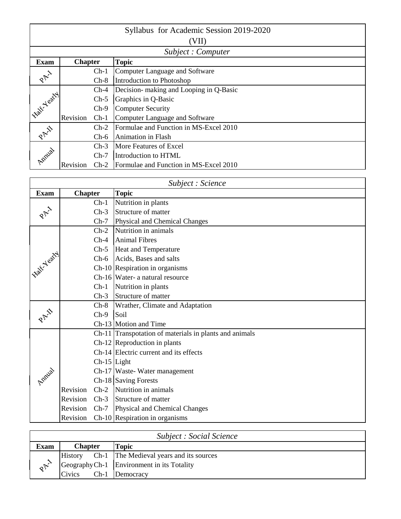|                   |                |        | Syllabus for Academic Session 2019-2020 |  |  |  |
|-------------------|----------------|--------|-----------------------------------------|--|--|--|
|                   | (VII)          |        |                                         |  |  |  |
|                   |                |        | Subject: Computer                       |  |  |  |
| <b>Exam</b>       | <b>Chapter</b> |        | <b>Topic</b>                            |  |  |  |
| $R_{\mathcal{P}}$ |                | $Ch-1$ | Computer Language and Software          |  |  |  |
|                   |                | $Ch-8$ | Introduction to Photoshop               |  |  |  |
|                   |                | $Ch-4$ | Decision- making and Looping in Q-Basic |  |  |  |
| I Falk Yeary!     |                | $Ch-5$ | Graphics in Q-Basic                     |  |  |  |
|                   |                | $Ch-9$ | <b>Computer Security</b>                |  |  |  |
|                   | Revision       | $Ch-1$ | Computer Language and Software          |  |  |  |
| PAI               |                | $Ch-2$ | Formulae and Function in MS-Excel 2010  |  |  |  |
|                   |                | $Ch-6$ | <b>Animation in Flash</b>               |  |  |  |
|                   |                | $Ch-3$ | <b>More Features of Excel</b>           |  |  |  |
| Amilal            |                | $Ch-7$ | Introduction to HTML                    |  |  |  |
|                   | Revision       | $Ch-2$ | Formulae and Function in MS-Excel 2010  |  |  |  |

|              |                |             | Subject : Science                                      |
|--------------|----------------|-------------|--------------------------------------------------------|
| <b>Exam</b>  | <b>Chapter</b> |             | <b>Topic</b>                                           |
|              |                | $Ch-1$      | Nutrition in plants                                    |
| PAI          |                | $Ch-3$      | Structure of matter                                    |
|              |                | $Ch-7$      | Physical and Chemical Changes                          |
|              |                | $Ch-2$      | Nutrition in animals                                   |
|              |                | $Ch-4$      | Animal Fibres                                          |
|              |                |             | Ch-5  Heat and Temperature                             |
|              |                | $Ch-6$      | Acids, Bases and salts                                 |
| Asset Vertil |                |             | Ch-10 Respiration in organisms                         |
|              |                |             | Ch-16 Water- a natural resource                        |
|              |                | $Ch-1$      | Nutrition in plants                                    |
|              |                |             | Ch-3 Structure of matter                               |
|              |                | $Ch-8$      | Wrather, Climate and Adaptation                        |
| PAI          |                | $Ch-9$      | <b>Soil</b>                                            |
|              |                |             | Ch-13 Motion and Time                                  |
|              |                |             | Ch-11 Transpotation of materials in plants and animals |
|              |                |             | Ch-12 Reproduction in plants                           |
|              |                |             | Ch-14 Electric current and its effects                 |
|              |                | Ch-15 Light |                                                        |
|              |                |             | Ch-17 Waste-Water management                           |
| Annial       |                |             | Ch-18 Saving Forests                                   |
|              | Revision       |             | Ch-2 Nutrition in animals                              |
|              | Revision       |             | Ch-3 Structure of matter                               |
|              | Revision       | $Ch-7$      | Physical and Chemical Changes                          |
|              | Revision       |             | Ch-10 Respiration in organisms                         |

| <i>Subject : Social Science</i> |                |                                                 |  |  |  |
|---------------------------------|----------------|-------------------------------------------------|--|--|--|
| <b>Exam</b>                     | <b>Chapter</b> | Topic                                           |  |  |  |
|                                 |                | History Ch-1 The Medieval years and its sources |  |  |  |
| $\mathcal{R}^{\mathcal{P}^{'}}$ |                | Geography Ch-1 Environment in its Totality      |  |  |  |
|                                 | Civics         | Ch-1 Democracy                                  |  |  |  |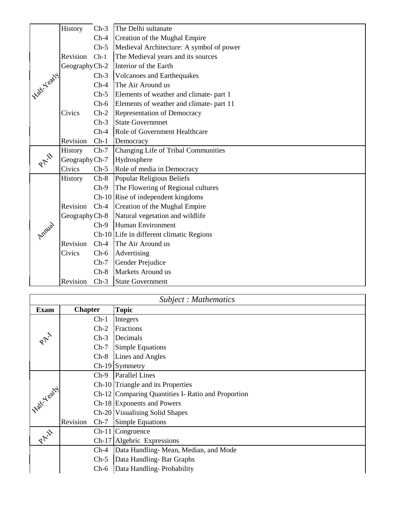|              | History        | $Ch-3$ | The Delhi sultanate                      |
|--------------|----------------|--------|------------------------------------------|
|              |                | $Ch-4$ | Creation of the Mughal Empire            |
|              |                | $Ch-5$ | Medieval Architecture: A symbol of power |
|              | Revision       | $Ch-1$ | The Medieval years and its sources       |
|              | Geography Ch-2 |        | Interior of the Earth                    |
| Island Learn |                | $Ch-3$ | <b>Volcanoes and Earthequakes</b>        |
|              |                | $Ch-4$ | The Air Around us                        |
|              |                | $Ch-5$ | Elements of weather and climate- part 1  |
|              |                | $Ch-6$ | Elements of weather and climate- part 11 |
|              | Civics         | $Ch-2$ | Representation of Democracy              |
|              |                | $Ch-3$ | <b>State Governmnet</b>                  |
|              |                | $Ch-4$ | Role of Government Healthcare            |
|              | Revision       | $Ch-1$ | Democracy                                |
|              | History        | $Ch-7$ | Changing Life of Tribal Communities      |
| PAI          | Geography Ch-7 |        | Hydrosphere                              |
|              | Civics         | $Ch-5$ | Role of media in Democracy               |
|              | <b>History</b> |        | Ch-8 Popular Religious Beliefs           |
|              |                | $Ch-9$ | The Flowering of Regional cultures       |
|              |                |        | $Ch-10$ Rise of independent kingdoms     |
|              | Revision       |        | Ch-4 Creation of the Mughal Empire       |
|              | Geography Ch-8 |        | Natural vegetation and wildlife          |
|              |                | $Ch-9$ | Human Environment                        |
| Amual        |                |        | Ch-10 Life in different climatic Regions |
|              | Revision       | $Ch-4$ | The Air Around us                        |
|              | Civics         | $Ch-6$ | Advertising                              |
|              |                | $Ch-7$ | Gender Prejudice                         |
|              |                | $Ch-8$ | Markets Around us                        |
|              | Revision       | $Ch-3$ | State Government                         |

|                     |                |        | Subject: Mathematics                               |
|---------------------|----------------|--------|----------------------------------------------------|
| <b>Exam</b>         | <b>Chapter</b> |        | <b>Topic</b>                                       |
|                     |                | $Ch-1$ | Integers                                           |
|                     |                | $Ch-2$ | <b>Fractions</b>                                   |
| 2 AV                |                | $Ch-3$ | Decimals                                           |
|                     |                | $Ch-7$ | <b>Simple Equations</b>                            |
|                     |                | $Ch-8$ | Lines and Angles                                   |
|                     |                |        | $Ch-19$ Symmetry                                   |
|                     |                | $Ch-9$ | <b>Parallel Lines</b>                              |
|                     |                |        | Ch-10 Triangle and its Properties                  |
| <b>HOLE NEWAYAI</b> |                |        | Ch-12 Comparing Quantities I- Ratio and Proportion |
|                     |                |        | Ch-18 Exponents and Powers                         |
|                     |                |        | Ch-20   Visualising Solid Shapes                   |
|                     | Revision       | $Ch-7$ | Simple Equations                                   |
| PAIL                |                |        | Ch-11 Congruence                                   |
|                     |                |        | Ch-17 Algebric Expressions                         |
|                     |                | $Ch-4$ | Data Handling-Mean, Median, and Mode               |
|                     |                | $Ch-5$ | Data Handling-Bar Graphs                           |
|                     |                | $Ch-6$ | Data Handling-Probability                          |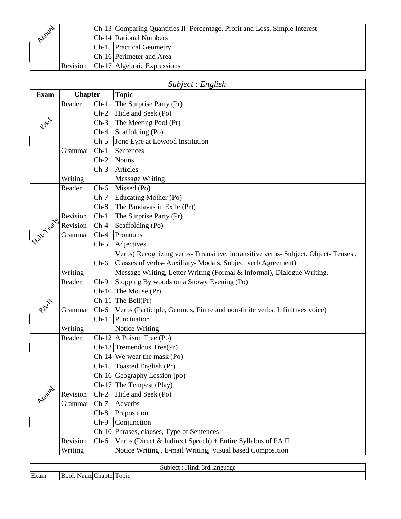|        |  | Ch-13 Comparing Quantities II- Percentage, Profit and Loss, Simple Interest |
|--------|--|-----------------------------------------------------------------------------|
| Annial |  | Ch-14 Rational Numbers                                                      |
|        |  | <b>Ch-15</b> Practical Geometry                                             |
|        |  | Ch-16 Perimeter and Area                                                    |
|        |  | Revision Ch-17 Algebraic Expressions                                        |

|                               | Subject : English |        |                                                                                  |  |
|-------------------------------|-------------------|--------|----------------------------------------------------------------------------------|--|
| <b>Exam</b>                   | <b>Chapter</b>    |        | <b>Topic</b>                                                                     |  |
|                               | Reader            | $Ch-1$ | The Surprise Party (Pr)                                                          |  |
|                               |                   | $Ch-2$ | Hide and Seek (Po)                                                               |  |
|                               |                   | $Ch-3$ | The Meeting Pool (Pr)                                                            |  |
|                               |                   | $Ch-4$ | Scaffolding (Po)                                                                 |  |
|                               |                   | $Ch-5$ | Jone Eyre at Lowood Institution                                                  |  |
|                               | Grammar           | $Ch-1$ | Sentences                                                                        |  |
|                               |                   | $Ch-2$ | <b>Nouns</b>                                                                     |  |
|                               |                   | $Ch-3$ | Articles                                                                         |  |
|                               | Writing           |        | <b>Message Writing</b>                                                           |  |
|                               | Reader            | $Ch-6$ | Missed (Po)                                                                      |  |
|                               |                   | $Ch-7$ | Educating Mother (Po)                                                            |  |
|                               |                   | $Ch-8$ | The Pandavas in Exile (Pr)(                                                      |  |
|                               | Revision          | $Ch-1$ | The Surprise Party (Pr)                                                          |  |
|                               | Revision          | $Ch-4$ | Scaffolding (Po)                                                                 |  |
|                               | Grammar           | $Ch-4$ | Pronouns                                                                         |  |
|                               |                   | $Ch-5$ | Adjectives                                                                       |  |
|                               |                   |        | Verbs (Recognizing verbs-Ttransitive, intransitive verbs-Subject, Object-Tenses, |  |
| <b>Half-Yearty</b><br>Applial |                   | $Ch-6$ | Classes of verbs- Auxiliary- Modals, Subject verb Agreement)                     |  |
|                               | Writing           |        | Message Writing, Letter Writing (Formal & Informal), Dialogue Writing.           |  |
|                               | Reader            | $Ch-9$ | Stopping By woods on a Snowy Evening (Po)                                        |  |
|                               |                   |        | $Ch-10$ The Mouse $(Pr)$                                                         |  |
|                               |                   |        | $Ch-11$ The Bell(Pr)                                                             |  |
|                               | Grammar Ch-6      |        | Verbs (Participle, Gerunds, Finite and non-finite verbs, Infinitives voice)      |  |
|                               |                   |        | Ch-11 Punctuation                                                                |  |
|                               | Writing           |        | Notice Writing                                                                   |  |
|                               | Reader            |        | $Ch-12$ A Poison Tree (Po)                                                       |  |
|                               |                   |        | $Ch-13$ Tremendous Tree(Pr)                                                      |  |
|                               |                   |        | $Ch-14$ We wear the mask (Po)                                                    |  |
|                               |                   |        | $Ch-15$ Toasted English (Pr)                                                     |  |
|                               |                   |        | Ch-16 Geography Lession (po)                                                     |  |
|                               |                   |        | $Ch-17$ The Tempest (Play)                                                       |  |
|                               | Revision          | $Ch-2$ | Hide and Seek (Po)                                                               |  |
|                               | Grammar           | $Ch-7$ | Adverbs                                                                          |  |
|                               |                   | $Ch-8$ | Preposition                                                                      |  |
|                               |                   | $Ch-9$ | Conjunction                                                                      |  |
|                               |                   |        | Ch-10 Phrases, clauses, Type of Sentences                                        |  |
|                               | Revision          | $Ch-6$ | Verbs (Direct & Indirect Speech) + Entire Syllabus of PA II                      |  |
|                               | Writing           |        | Notice Writing, E-mail Writing, Visual based Composition                         |  |

| $-10$ |      |                      | امعدا<br>language<br>. |
|-------|------|----------------------|------------------------|
|       | Exam | $\mathbf{u}$<br>2D1C |                        |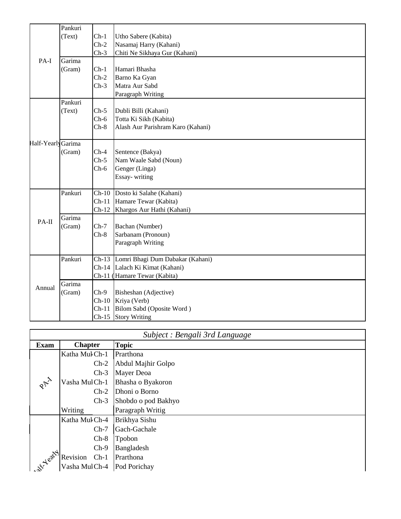|                    | Pankuri |                           |                                   |
|--------------------|---------|---------------------------|-----------------------------------|
|                    | (Text)  | $Ch-1$                    | Utho Sabere (Kabita)              |
|                    |         | $Ch-2$                    | Nasamaj Harry (Kahani)            |
|                    |         | $Ch-3$                    | Chiti Ne Sikhaya Gur (Kahani)     |
| PA-I               | Garima  |                           |                                   |
|                    | (Gram)  | $Ch-1$                    | Hamari Bhasha                     |
|                    |         | $Ch-2$                    | Barno Ka Gyan                     |
|                    |         | $Ch-3$                    | Matra Aur Sabd                    |
|                    |         |                           | Paragraph Writing                 |
|                    | Pankuri |                           |                                   |
|                    | (Text)  | $Ch-5$                    | Dubli Billi (Kahani)              |
|                    |         | $Ch-6$                    | Totta Ki Sikh (Kabita)            |
|                    |         | $Ch-8$                    | Alash Aur Parishram Karo (Kahani) |
| Half-Yearly Garima |         |                           |                                   |
|                    | (Gram)  | $Ch-4$                    | Sentence (Bakya)                  |
|                    |         | $Ch-5$                    | Nam Waale Sabd (Noun)             |
|                    |         | $Ch-6$                    | Genger (Linga)                    |
|                    |         |                           | Essay-writing                     |
|                    | Pankuri | $\overline{\text{Ch-}10}$ | Dosto ki Salahe (Kahani)          |
|                    |         | $Ch-11$                   | Hamare Tewar (Kabita)             |
|                    |         | $Ch-12$                   | Khargos Aur Hathi (Kahani)        |
| PA-II              | Garima  |                           |                                   |
|                    | (Gram)  | $Ch-7$                    | Bachan (Number)                   |
|                    |         | $Ch-8$                    | Sarbanam (Pronoun)                |
|                    |         |                           | Paragraph Writing                 |
|                    | Pankuri | $Ch-13$                   | Lomri Bhagi Dum Dabakar (Kahani)  |
|                    |         |                           | Ch-14 Lalach Ki Kimat (Kahani)    |
|                    |         |                           | Ch-11 (Hamare Tewar (Kabita)      |
| Annual             | Garima  |                           |                                   |
|                    | (Gram)  | $Ch-9$                    | Bisheshan (Adjective)             |
|                    |         | $Ch-10$                   | Kriya (Verb)                      |
|                    |         | $Ch-11$                   | Bilom Sabd (Oposite Word)         |
|                    |         |                           | Ch-15 Story Writing               |

|                        |                    | Subject : Bengali 3rd Language |
|------------------------|--------------------|--------------------------------|
| <b>Exam</b>            | <b>Chapter</b>     | <b>Topic</b>                   |
|                        | Katha Mul Ch-1     | Prarthona                      |
|                        | $Ch-2$             | Abdul Majhir Golpo             |
|                        | $Ch-3$             | Mayer Deoa                     |
| PAY                    | Vasha MulCh-1      | Bhasha o Byakoron              |
|                        | $Ch-2$             | Dhoni o Borno                  |
|                        | $Ch-3$             | Shobdo o pod Bakhyo            |
|                        | Writing            | Paragraph Writig               |
|                        | Katha Mul Ch-4     | Brikhya Sishu                  |
|                        | $Ch-7$             | Gach-Gachale                   |
|                        | $Ch-8$             | Tpobon                         |
|                        | $Ch-9$             | Bangladesh                     |
| <b>4-22-23-4-02-24</b> | Revision<br>$Ch-1$ | Prarthona                      |
|                        | Vasha MulCh-4      | Pod Porichay                   |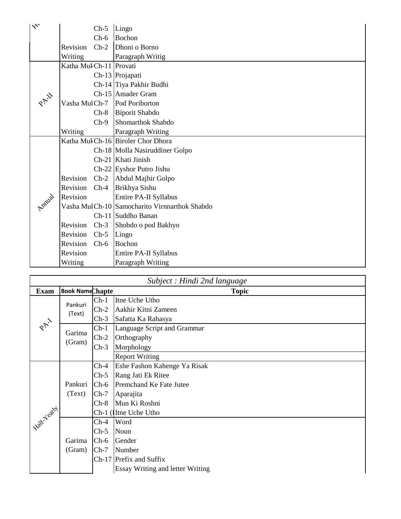| $\mathbb{R}^{\mathsf{v}}$ |                         | $Ch-5$ | Lingo                                         |
|---------------------------|-------------------------|--------|-----------------------------------------------|
|                           |                         | $Ch-6$ | Bochon                                        |
|                           | Revision                | $Ch-2$ | Dhoni o Borno                                 |
|                           | Writing                 |        | Paragraph Writig                              |
|                           | Katha Mul Ch-11 Provati |        |                                               |
|                           |                         |        | Ch-13 Projapati                               |
|                           |                         |        | Ch-14 Tiya Pakhir Budhi                       |
| PAI                       |                         |        | Ch-15 Amader Gram                             |
|                           | Vasha MulCh-7           |        | Pod Poriborton                                |
|                           |                         | $Ch-8$ | <b>Biporit Shabdo</b>                         |
|                           |                         | $Ch-9$ | Shomarthok Shabdo                             |
|                           | Writing                 |        | Paragraph Writing                             |
|                           |                         |        | Katha Muk Ch-16 Biroler Chor Dhora            |
|                           |                         |        | Ch-18 Molla Nasiruddiner Golpo                |
|                           |                         |        | Ch-21 Khati Jinish                            |
|                           |                         |        | Ch-22 Eyshor Putro Jishu                      |
|                           | Revision                | $Ch-2$ | Abdul Majhir Golpo                            |
|                           | Revision Ch-4           |        | Brikhya Sishu                                 |
| Annial                    | Revision                |        | Entire PA-II Syllabus                         |
|                           |                         |        | Vasha MulCh-10 Samocharito Virnnarthok Shabdo |
|                           |                         |        | Ch-11 Suddho Banan                            |
|                           | Revision                | $Ch-3$ | Shobdo o pod Bakhyo                           |
|                           | Revision                | $Ch-5$ | Lingo                                         |
|                           | Revision                | $Ch-6$ | Bochon                                        |
|                           | Revision                |        | Entire PA-II Syllabus                         |
|                           | Writing                 |        | Paragraph Writing                             |

| Subject : Hindi 2nd language |                                          |        |                                         |  |
|------------------------------|------------------------------------------|--------|-----------------------------------------|--|
| <b>Exam</b>                  | <b>Book Name</b> Chaptel<br><b>Topic</b> |        |                                         |  |
|                              | Pankuri                                  | $Ch-1$ | Itne Uche Utho                          |  |
|                              | (Text)                                   | $Ch-2$ | Aakhir Kitni Zameen                     |  |
|                              |                                          | $Ch-3$ | Safatta Ka Rahasya                      |  |
| PAY                          | Garima                                   | $Ch-1$ | Language Script and Grammar             |  |
|                              | (Gram)                                   | $Ch-2$ | Orthography                             |  |
|                              |                                          | $Ch-3$ | Morphology                              |  |
|                              |                                          |        | <b>Report Writing</b>                   |  |
| 1 Frakt Yeary /              |                                          | $Ch-4$ | Eshe Fashon Kahenge Ya Risak            |  |
|                              | Pankuri<br>(Text)                        | $Ch-5$ | Rang Jati Ek Ritee                      |  |
|                              |                                          | $Ch-6$ | Premchand Ke Fate Jutee                 |  |
|                              |                                          | $Ch-7$ | Aparajita                               |  |
|                              |                                          | $Ch-8$ | Mun Ki Roshni                           |  |
|                              |                                          |        | Ch-1 (The Uche Utho                     |  |
|                              |                                          | $Ch-4$ | Word                                    |  |
|                              |                                          | $Ch-5$ | Noun                                    |  |
|                              | Garima                                   | $Ch-6$ | Gender                                  |  |
|                              | (Gram)                                   | $Ch-7$ | Number                                  |  |
|                              |                                          |        | Ch-17 Prefix and Suffix                 |  |
|                              |                                          |        | <b>Essay Writing and letter Writing</b> |  |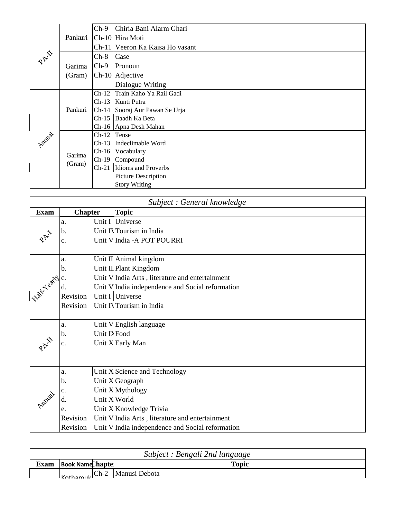|        | Pankuri          | $Ch-9$        | Chiria Bani Alarm Ghari         |
|--------|------------------|---------------|---------------------------------|
|        |                  |               | Ch-10 Hira Moti                 |
|        |                  |               | Ch-11 Veeron Ka Kaisa Ho vasant |
| PAI    |                  | $Ch-8$        | Case                            |
|        | Garima           | $Ch-9$        | Pronoun                         |
|        | (Gram)           |               | Ch-10 Adjective                 |
|        |                  |               | Dialogue Writing                |
|        | Pankuri          | $Ch-12$       | Train Kaho Ya Rail Gadi         |
|        |                  | $Ch-13$       | Kunti Putra                     |
|        |                  |               | Ch-14 Sooraj Aur Pawan Se Urja  |
|        |                  | $Ch-15$       | Baadh Ka Beta                   |
|        |                  |               | Ch-16 Apna Desh Mahan           |
| Amilal | Garima<br>(Gram) | $Ch-12$ Tense |                                 |
|        |                  | $Ch-13$       | Indeclimable Word               |
|        |                  | $Ch-16$       | Vocabulary                      |
|        |                  | $Ch-19$       | Compound                        |
|        |                  | $Ch-21$       | Idioms and Proverbs             |
|        |                  |               | Picture Description             |
|        |                  |               | <b>Story Writing</b>            |

| Subject : General knowledge |                |              |                                                  |  |
|-----------------------------|----------------|--------------|--------------------------------------------------|--|
| <b>Exam</b>                 | <b>Chapter</b> |              | <b>Topic</b>                                     |  |
|                             | a.             |              | Unit I Universe                                  |  |
|                             | b.             |              | Unit INTourism in India                          |  |
|                             | c.             |              | Unit V India - A POT POURRI                      |  |
|                             |                |              |                                                  |  |
|                             | a.             |              | Unit II Animal kingdom                           |  |
|                             | b.             |              | Unit II Plant Kingdom                            |  |
|                             |                |              | Unit V India Arts, literature and entertainment  |  |
| I rate vary c.              |                |              | Unit V India independence and Social reformation |  |
|                             | Revision       |              | Unit I Universe                                  |  |
|                             | Revision       |              | Unit INTourism in India                          |  |
|                             | a.             |              | Unit VEnglish language                           |  |
|                             | b.             | Unit IXFood  |                                                  |  |
|                             |                |              | Unit X Early Man                                 |  |
|                             |                |              |                                                  |  |
|                             |                |              |                                                  |  |
|                             | a.             |              | Unit X Science and Technology                    |  |
|                             | b.             |              | Unit X Geograph                                  |  |
|                             | $\mathbf{c}$ . |              | Unit X Mythology                                 |  |
|                             | d.             | Unit X World |                                                  |  |
|                             | e.             |              | Unit X Knowledge Trivia                          |  |
|                             | Revision       |              | Unit V India Arts, literature and entertainment  |  |
|                             | Revision       |              | Unit V India independence and Social reformation |  |

| Subject : Bengali 2nd language |                                                           |              |  |  |  |
|--------------------------------|-----------------------------------------------------------|--------------|--|--|--|
| <b>Exam</b>                    | <b>Book Name Chapte</b>                                   | <b>Topic</b> |  |  |  |
|                                | $\vert_{\kappa_{\text{other}}}\vert$ Ch-2   Manusi Debota |              |  |  |  |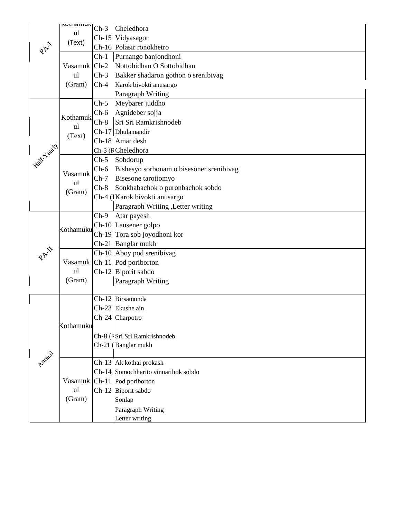|                | <b>NULLIQIIIUN</b>           | $Ch-3$ | Cheledhora                                          |
|----------------|------------------------------|--------|-----------------------------------------------------|
| PAY            | ul<br>(Text)                 |        | Ch-15 Vidyasagor                                    |
|                |                              |        | Ch-16 Polasir ronokhetro                            |
|                | Vasamuk Ch-2<br>ul<br>(Gram) | $Ch-1$ | Purnango banjondhoni                                |
|                |                              |        | Nottobidhan O Sottobidhan                           |
|                |                              | $Ch-3$ | Bakker shadaron gothon o srenibivag                 |
|                |                              | $Ch-4$ | Karok bivokti anusargo                              |
|                |                              |        | Paragraph Writing                                   |
|                | Kothamuk<br>ul               | $Ch-5$ | Meybarer juddho                                     |
|                |                              | $Ch-6$ | Agnideber sojja                                     |
|                |                              | $Ch-8$ | Sri Sri Ramkrishnodeb                               |
|                | (Text)                       |        | Ch-17 Dhulamandir                                   |
|                |                              |        | Ch-18 Amar desh                                     |
| - Falk-Yeary ! |                              |        | Ch-3 (RCheledhora                                   |
|                |                              | $Ch-5$ | Sobdorup                                            |
|                | Vasamuk                      | $Ch-6$ | Bishesyo sorbonam o bisesoner srenibivag            |
|                | ul                           | $Ch-7$ | <b>Bisesone</b> tarottomyo                          |
|                | (Gram)                       | $Ch-8$ | Sonkhabachok o puronbachok sobdo                    |
|                |                              |        | Ch-4 (Karok bivokti anusargo                        |
|                |                              |        | Paragraph Writing , Letter writing                  |
|                |                              | $Ch-9$ | Atar payesh                                         |
|                | Kothamuku                    |        | Ch-10 Lausener golpo                                |
|                |                              |        | Ch-19 Tora sob joyodhoni kor                        |
| PAI            |                              |        | Ch-21 Banglar mukh                                  |
|                |                              |        | Ch-10 Aboy pod srenibivag                           |
|                | ul                           |        | Vasamuk Ch-11 Pod poriborton<br>Ch-12 Biporit sabdo |
|                | (Gram)                       |        | Paragraph Writing                                   |
|                |                              |        |                                                     |
|                |                              |        | Ch-12 Birsamunda                                    |
|                |                              |        | Ch-23 Ekushe ain                                    |
|                |                              |        | Ch-24 Charpotro                                     |
|                | Kothamuku                    |        |                                                     |
| Amus           |                              |        | Ch-8 (FSri Sri Ramkrishnodeb                        |
|                |                              |        | Ch-21 (Banglar mukh                                 |
|                |                              |        |                                                     |
|                |                              |        | Ch-13 Ak kothai prokash                             |
|                |                              |        | Ch-14 Somochharito vinnarthok sobdo                 |
|                |                              |        | Vasamuk   Ch-11   Pod poriborton                    |
|                | ul                           |        | Ch-12 Biporit sabdo                                 |
|                | (Gram)                       |        | Sonlap                                              |
|                |                              |        | Paragraph Writing                                   |
|                |                              |        | Letter writing                                      |